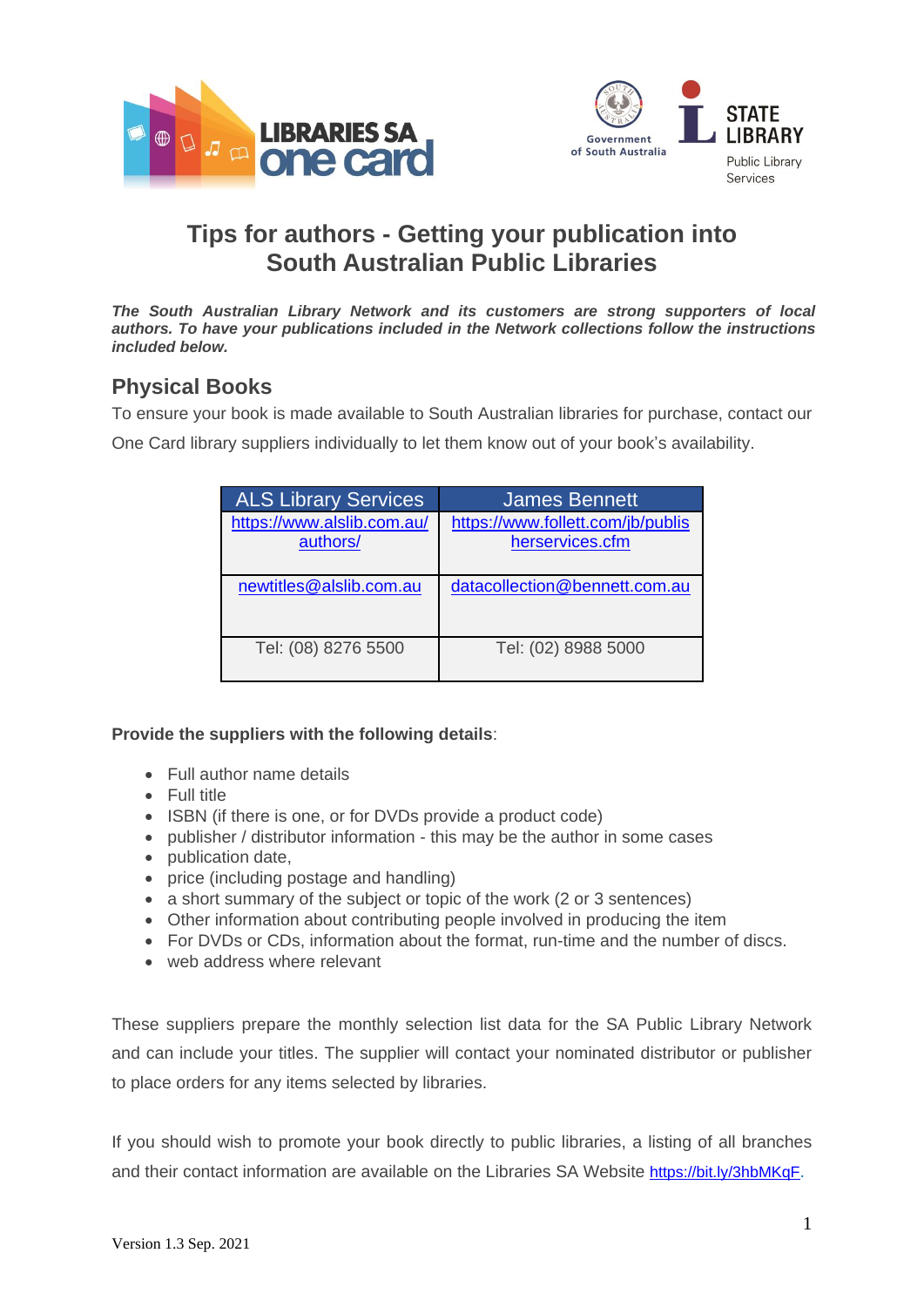



# **Tips for authors - Getting your publication into South Australian Public Libraries**

*The South Australian Library Network and its customers are strong supporters of local authors. To have your publications included in the Network collections follow the instructions included below.* 

## **Physical Books**

To ensure your book is made available to South Australian libraries for purchase, contact our

One Card library suppliers individually to let them know out of your book's availability.

| <b>ALS Library Services</b>            | <b>James Bennett</b>                                 |
|----------------------------------------|------------------------------------------------------|
| https://www.alslib.com.au/<br>authors/ | https://www.follett.com/jb/publis<br>herservices.cfm |
| newtitles@alslib.com.au                | datacollection@bennett.com.au                        |
| Tel: (08) 8276 5500                    | Tel: (02) 8988 5000                                  |

#### **Provide the suppliers with the following details**:

- Full author name details
- Full title
- ISBN (if there is one, or for DVDs provide a product code)
- publisher / distributor information this may be the author in some cases
- publication date,
- price (including postage and handling)
- a short summary of the subject or topic of the work (2 or 3 sentences)
- Other information about contributing people involved in producing the item
- For DVDs or CDs, information about the format, run-time and the number of discs.
- web address where relevant

These suppliers prepare the monthly selection list data for the SA Public Library Network and can include your titles. The supplier will contact your nominated distributor or publisher to place orders for any items selected by libraries.

If you should wish to promote your book directly to public libraries, a listing of all branches and their contact information are available on the Libraries SA Website <https://bit.ly/3hbMKqF>.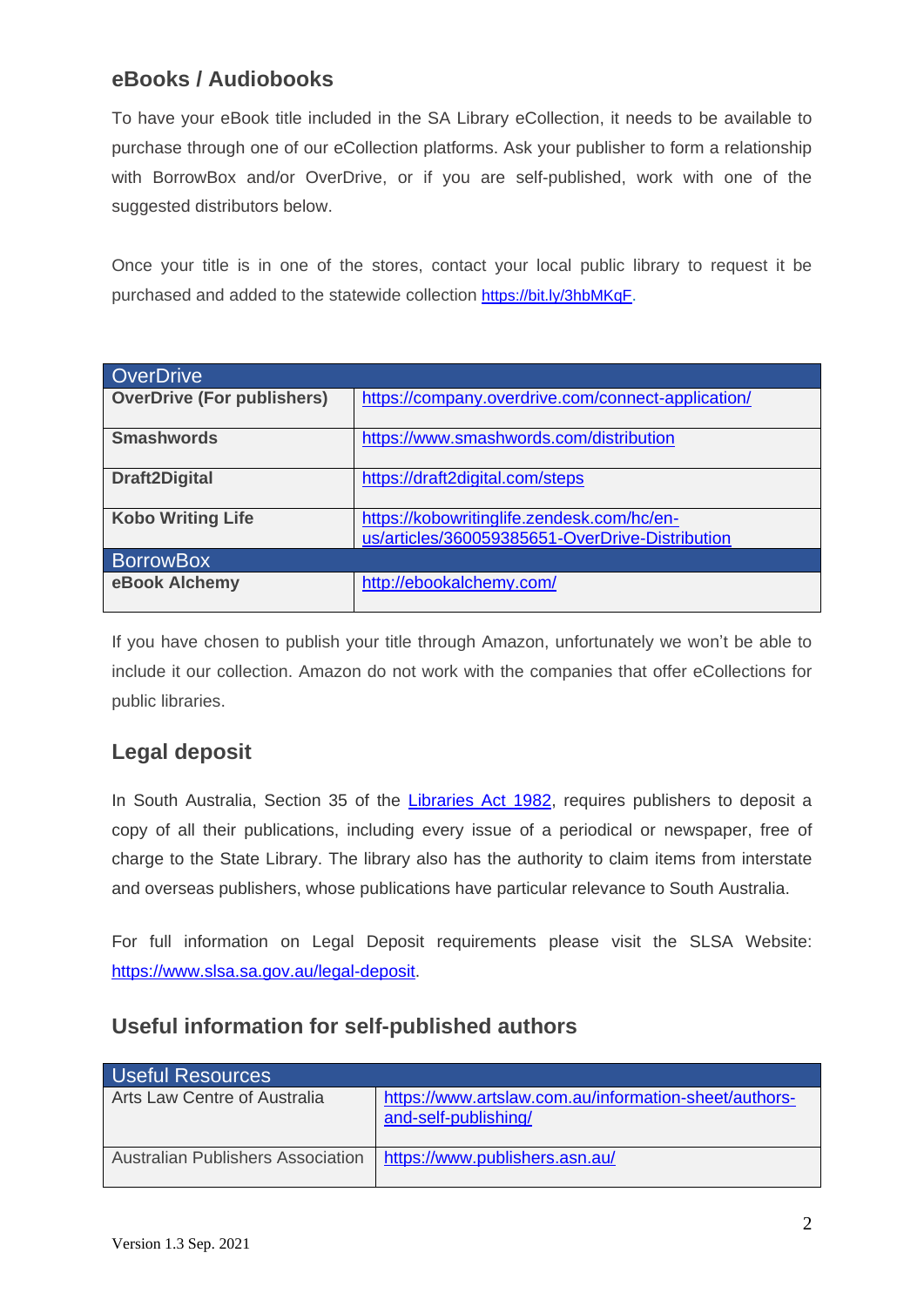# **eBooks / Audiobooks**

To have your eBook title included in the SA Library eCollection, it needs to be available to purchase through one of our eCollection platforms. Ask your publisher to form a relationship with BorrowBox and/or OverDrive, or if you are self-published, work with one of the suggested distributors below.

Once your title is in one of the stores, contact your local public library to request it be purchased and added to the statewide collection <https://bit.ly/3hbMKqF>.

| OverDrive                         |                                                    |
|-----------------------------------|----------------------------------------------------|
| <b>OverDrive (For publishers)</b> | https://company.overdrive.com/connect-application/ |
|                                   |                                                    |
| <b>Smashwords</b>                 | https://www.smashwords.com/distribution            |
|                                   |                                                    |
| <b>Draft2Digital</b>              | https://draft2digital.com/steps                    |
|                                   |                                                    |
| <b>Kobo Writing Life</b>          | https://kobowritinglife.zendesk.com/hc/en-         |
|                                   |                                                    |
|                                   | us/articles/360059385651-OverDrive-Distribution    |
| <b>BorrowBox</b>                  |                                                    |
| eBook Alchemy                     | http://ebookalchemy.com/                           |
|                                   |                                                    |

If you have chosen to publish your title through Amazon, unfortunately we won't be able to include it our collection. Amazon do not work with the companies that offer eCollections for public libraries.

### **Legal deposit**

In South Australia, Section 35 of the [Libraries Act 1982,](https://www.legislation.sa.gov.au/LZ/C/A/LIBRARIES%20ACT%201982/CURRENT/1982.70.AUTH.PDF) requires publishers to deposit a copy of all their publications, including every issue of a periodical or newspaper, free of charge to the State Library. The library also has the authority to claim items from interstate and overseas publishers, whose publications have particular relevance to South Australia.

For full information on Legal Deposit requirements please visit the SLSA Website: [https://www.slsa.sa.gov.au/legal-deposit.](https://www.slsa.sa.gov.au/legal-deposit)

### **Useful information for self-published authors**

| <b>Useful Resources</b>                  |                                                                               |
|------------------------------------------|-------------------------------------------------------------------------------|
| Arts Law Centre of Australia             | https://www.artslaw.com.au/information-sheet/authors-<br>and-self-publishing/ |
| <b>Australian Publishers Association</b> | https://www.publishers.asn.au/                                                |